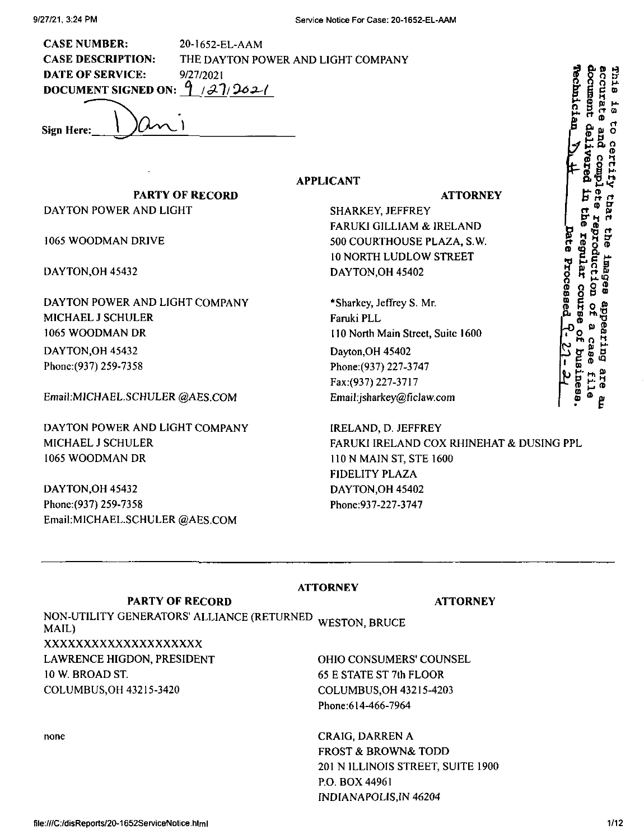**CASE NUMBER: CASE DESCRIPTION: DATE OF SERVICE:** 20-1652-EL-AAM THE DAYTON POWER AND LIGHT COMPANY 9/27/2021 DOCUMENT SIGNED ON:  $9/27/262/$ 

**APPLICANT**

**Sign Here: e**

**PARTY OF RECORD** DAYTON POWER AND LIGHT

1065 WOODMAN DRIVE

DAYTON,OH 45432

DAYTON POWER AND LIGHT COMPANY MICHAEL J SCHULER 1065 WOODMAN DR

DAYTON,OH 45432 Phone:(937)259-7358

Email:MICHAEL.SCHULER@AES.COM

DAYTON POWER AND LIGHT COMPANY MICHAEL J SCHULER 1065 WOODMAN DR

DAYTON,OH 45432 Phone:(937) 259-7358 Email:MICHAEL.SCHULER @AES.COM **ATTORNEY**

**r 5 o <sup>M</sup>**

 *5o. Q, \*0 Ml*

9 X X<br>9 X X

**ft <sup>A</sup> A**

**S " §**

e inag<br>Coucti<br>egular , n. d CD Q B ® §& CD KiS« <sup>O</sup> 5 fi) »» » o 2

ease  $\mathbf{F} \in \mathbb{R}$   $\mathbb{Z}$ **ftj H- Ml ®**

**g**

**H-H-3 ®**

**r <sup>X</sup> <5 <sup>O</sup> tJ**

**J Oi - H g**

**p-**

بو<br>پ

**» A O CT <sup>O</sup> H- <sup>C</sup> CD K to rt a O ft to O**

SHARKEY, JEFFREY FARUKI GILLIAM & IRELAND 500 COURTHOUSE PLAZA, S.W. 10 NORTH LUDLOW STREET DAYTON,OH 45402

\*Sharkey, Jeffrey S. Mr. Faruki PLL 110 North Main Street, Suite 1600 Dayton,OH 45402 Phone:(937) 227-3747 *Fax;(937) 221-31X1 Email:jsharkey@ficlaw.com*

IRELAND, D. JEFFREY FARUKJ IRELAND COX RHINEHAT & DUSING PPL 110 N MAIN ST, STE 1600 FIDELITY PLAZA DAYTON,OH 45402 Phone:937-227-3747

NON-UTILITY GENERATORS' ALLIANCE (RETURNED) WESTON, BRUCE<br>MAIL \ **PARTY OF RECORD** MAIL) xxxxxxxxxxxxxxxxxxxx LAWRENCE HIGDON, PRESIDENT 10 W. BROAD ST. COLUMBUS,OH 43215-3420

none

**ATTORNEY**

**ATTORNEY**

OHIO CONSUMERS' COUNSEL 65 E STATE ST 7th FLOOR COLUMBUS,OH 43215-4203 Phone:614-466-7964

CRAIG, DARREN A FROST & BROWN& TODD 201 N ILLINOIS STREET, SUITE 1900 P.O. BOX 44961 INDIANAPOLIS,IN 46204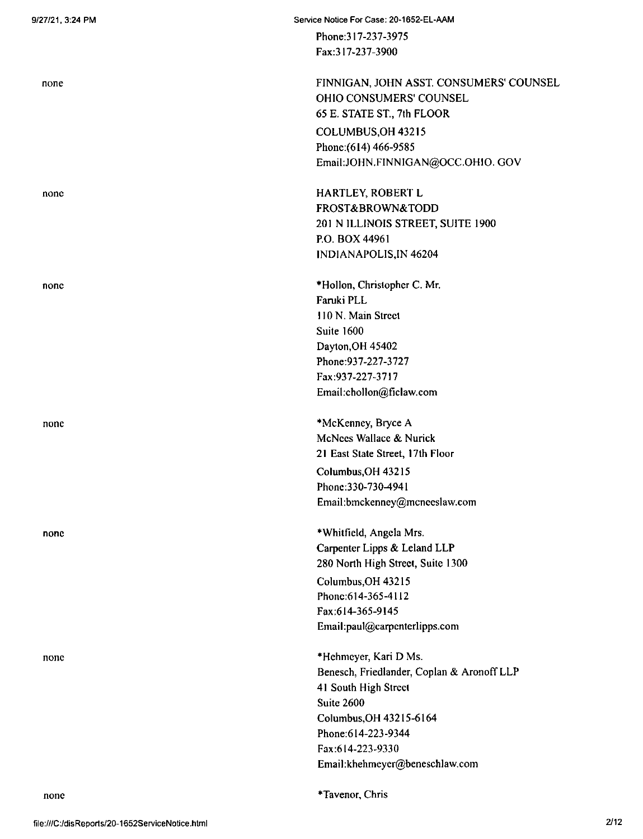none

none

none

none

none

Phone:317-237-3975 Fax:317-237-3900

FINNIGAN, JOHN ASST. CONSUMERS' COUNSEL OHIO CONSUMERS' COUNSEL 65 E. STATE ST, 7th FLOOR COLUMBUS,OH 43215 Phone:(6I4) 466-9585 Email:JOHN.FINNIGAN@OCC.OHIO. GOV

HARTLEY, ROBERT L FROST&BROWN&TODD 201 N ILLINOIS STREET, SUITE 1900 P.O. BOX 44961 INDIANAPOLIS,IN 46204

\*Hollon, Christopher C. Mr. Faruki PLL HON. Main Street Suite 1600 Dayton,OH 45402 Phone:937-227-3727 Fax:937-227-3717 Email:chollon@ficlaw.com

\*McKenney, Bryce A McNccs Wallace & Nurick 21 East State Street, 17th Floor Columbus,OH 43215 Phone:330-730-4941 Email:bmckenney@mcnceslaw.com

\*Whitfield, Angela Mrs. Carpenter Lipps & Leland LLP 280 North High Street, Suite 1300 Columbus,OH 43215 Phonc:614-365-4112 Fax:614-365-9145 Email:paul@carpcnterlipps.com

\*Hchmeyer, Kari D Ms. Benesch, Friedlander, Coplan & Aronoff LLP 41 South High Street Suite 2600 Columbus,OH 43215-6164 Phone:614-223-9344 Fax:614-223-9330 Email:khehmeyer@beneschlaw.com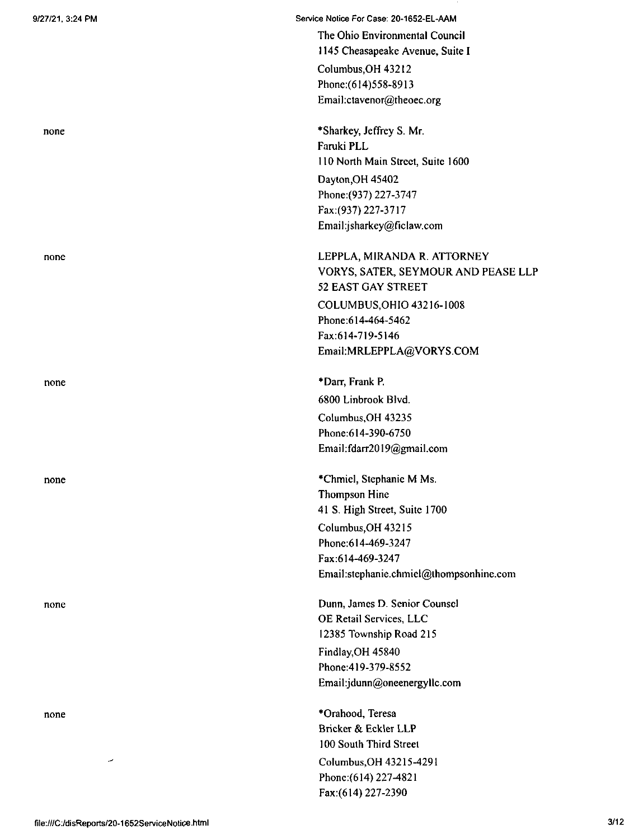none

none

none

none

none

Service Notice For Case: 20-1652-EL-AAM The Ohio Environmental Council 1145 Cheasapeake Avenue, Suite I Columbus,OH 43212 Phone:(614)558-8913 Email:ctavenor@theoec.org

> \*Sharkey, Jeffrey S. Mr. Faruki PLL 110 North Main Street, Suite 1600 Dayton,OH 45402 Phone:(937) 227-3747 Fax:(937) 227-3717 Email:jsharkey@riclaw.com

COLUMBUS,OHIO 43216-1008 Phone:614-464-5462 Fax:614-719-5146 Email:MRLEPPLA@VORYS.COM LEPPLA, MIRANDA R. ATTORNEY VORYS, SATER, SEYMOUR AND PEASE LLP 52 EAST GAY STREET

\*Darr, Frank P. 6800 Linbrook Blvd. Columbus,OH 43235 Phone:614-390-6750 Email:fdarr2019@gmail.com

\*Chmiel, Stephanie M Ms. Thompson Hine 41 S, High Street, Suite 1700 Columbus,OH 43215 Phonc:6I4-469-3247 Fax:614-469-3247 Email:stephanie.chmiel@thompsonhine.com

Dunn, James D. Senior Counsel OE Retail Services, LLC 12385 Township Road 215 Findlay,OH 45840 Phone:419-379-8552 Email:jdunn@oneenergyllc.com

Columbus,OH 43215-4291 Phone:(614) 227-4821 Fax:(614) 227-2390 \*Orahood, Teresa Bricker & Eckler LLP 100 South Third Street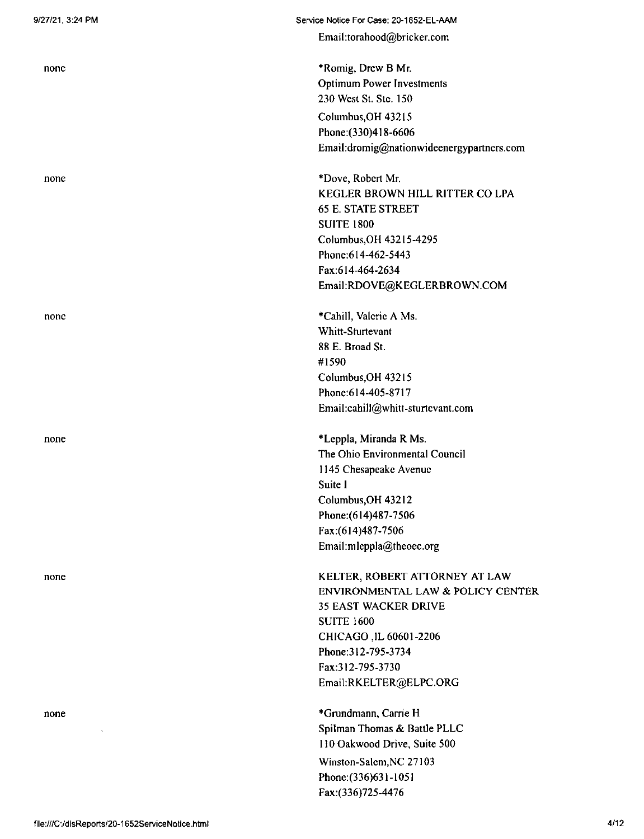none

none

none

none

none

**Service Notice For Case: 20-1652-EL-AAM**

**Email:torahood@bricker.com**

\*Romig, Drew B Mr. Optimum Power Investments 230 West St. Ste. 150 Columbus,OH 43215 **Phone:(330)418-6606 Email:dromig@nationwideenergypartncrs.com**

\*Dove, Robert Mr. KEGLER BROWN HILL RITTER CO LPA 65 E. STATE STREET SUITE 1800 Columbus,OH 43215-4295 Phone:614-462-5443 Fax:614-464-2634 Email:RDOVE@KEGLERBROWN.COM

\*Cahill, Valeric A Ms. Whitt-Sturtevant 88 E. Broad St. #1590 Columbus,OH 43215 Phone:614-405-8717 Email:cahill@whitt-sturtevant.com

\*Leppla, Miranda R Ms. The Ohio Environmental Council 1145 Chesapeake Avenue Suite <sup>I</sup> Columbus,OH 43212 Phone:(614)487-7506 Fax:(614)487-7506 **Email:mleppla@theoec.org**

KELTER, ROBERT ATTORNEY AT LAW ENVIRONMENTAL LAW & POLICY CENTER 35 EAST WACKER DRIVE SUITE 1600 **CHICAGO,IL 60601-2206** Phone:312-795-3734 Fax:312-795-3730 Email:RKELTER@ELPC.ORG

\*Grundmann, Carrie H Spilman Thomas & Battle PLLC 110 Oakwood Drive, Suite 500 Winston-Salem,NC 27103 Phone:(336)631-1051 Fax:(336)725-4476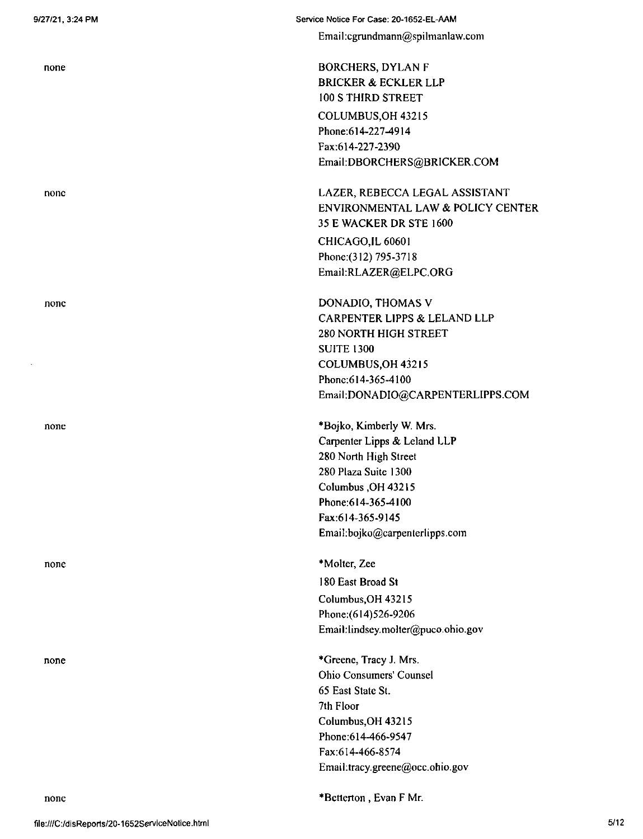none

none

none

none

none

Service Notice For Case: 20-1652-EL-AAM Email:cgrundmann@spilmanlaw.com

> BORCHERS, DYLAN F BRICKER & ECKLER LLP 100 S THIRD STREET COLUMBUS,OH 43215 Phone:614-227-4914 Fax;614-227-2390 Email:DBORCHERS@BRICKER.COM

LAZER, REBECCA LEGAL ASSISTANT ENVIRONMENTAL LAW & POLICY CENTER 35 E WACKER DR STE 1600 CHICAGO,IL 60601 Phone:(312) 795-3718 Email:RLAZER@ELPC.ORG

DONADIO, THOMAS V CARPENTER LIPPS & LELAND LLP 280 NORTH HIGH STREET SUITE 1300 COLUMBUS,OH432I5 Phone;614-365-4100 Email:DONADIO@CARPENTERLIPPS.COM

\*Bojko, Kimberly W. Mrs. Carpenter Lipps & Leland LLP 280 North High Street 280 Plaza Suite 1300 Columbus ,OH 43215 Phone:614-365-4100 Fax:614-365-9145 Email:bojko@carpenterlipps,com

Columbus,OH 43215 Phone:(614)526-9206 Email:lindsey.molter@puco.Ohio.gov \*Molter, Zee 180 East Broad St

\*Greene, Tracy J. Mrs. Ohio Consumers' Counsel 65 East State St. 7th Floor Columbus,OH 43215 Phone:614-466-9547 Fax:614-466-8574 Email:tracy.greene@occ.ohio.gov

none \*Betterton, Evan F Mr.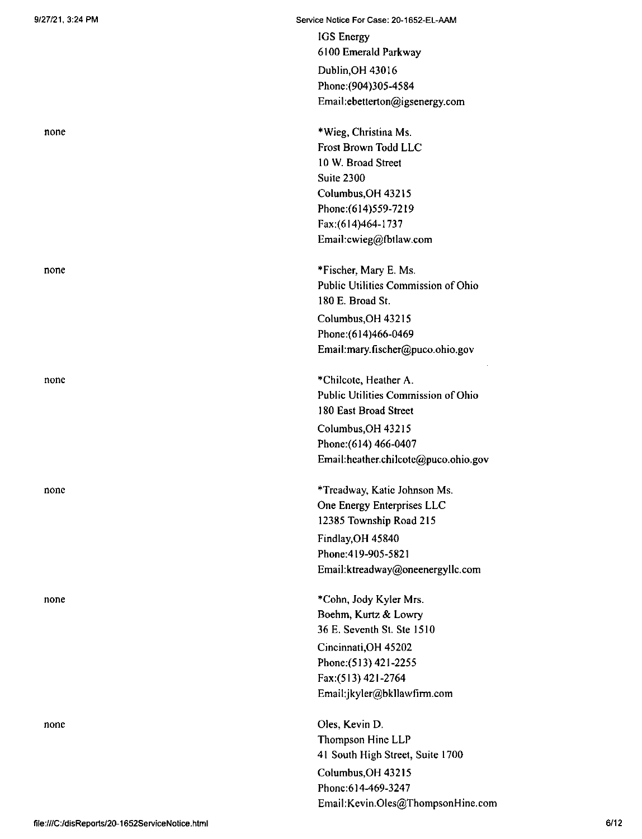none

none

none

none

none

Service Notice For Case: 20-1652-EL-AAM IGS Energy

> 6100 Emerald Parkway Dublin,OH 43016 Phonc:(904)305-4584 Email:ebetterton@igsenergy.com

\*Wieg, Christina Ms. Frost Brown Todd LLC 10 W. Broad Street Suite 2300 Columbus,OH 43215 Phone:(614)559-7219 Fax:(614)464-1737 Email:cwieg@fbtlaw.com

\*Fischer, Mary E. Ms. Public Utilities Commission of Ohio 180 E. Broad St. Columbus,OH 43215 Phone:(614)466-0469 Email:mary.fischer@puco.ohio.gov

\*ChiIcote, Heather A. Public Utilities Commission of Ohio 180 East Broad Street Columbus,OH 43215 Phone:(614) 466-0407 Email:hcather.chilcotc@puco.ohio.gov

\*Trcadway, Katie Johnson Ms. One Energy Enterprises LLC 12385 Township Road 215 Findlay,OH 45840 Phone:419-905-5821 Email:ktreadway@oneenergyllc.com

\*Cohn, Jody Kyler Mrs. Boehm, Kurtz & Lowry 36 E. Seventh St. Ste 1510 Cincinnati,OH 45202 Phone;(513) 421-2255 Fax:(513)421-2764 Email:jkyler@bkllawfirm.com

Oles, Kevin D. Thompson Hine LLP 41 South High Street, Suite 1700 Columbus,OH 43215 Phone:614-469-3247 Email:Kevin.Oles@ThompsonHine.com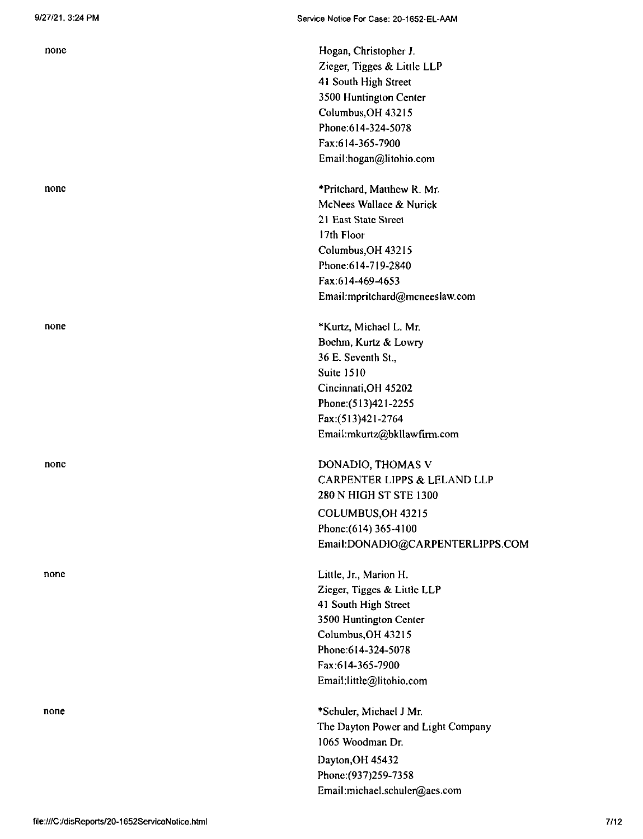none

none

none

none

Hogan, Christopher J. Zieger, Tigges & Little LLP 41 South High Street 3500 Huntington Center Columbus,OH 43215 Phone:614-324-5078 Fax:614-365-7900 Email:hogan@litohio.com

\*Pritchard, Matthew R. Mr. McNees Wallace & Nurick **21 East State Street** 17th Floor Columbus,OH 43215 Phone:614-719-2840 **Fax:614-469-4653** Email:mpritchard@mcneeslaw.com

\*Kurtz, Michael L. Mr. Boehm, Kurtz & Lowry 36 E. Seventh St., Suite 1510 Cincinnati,OH 45202 Phone:(513)421-2255 Fax:(513)421-2764 Email:mkurtz@bkllawfirm.com

DONADIO, THOMAS V CARPENTER LIPPS & LELAND LLP 280 N HIGH ST STE 1300 COLUMBUS,OH 43215 Phone:(614) 365-4100 Email:DONADIO@CARPENTERLIPPS.COM

Little, Jr., Marion H. Zieger, Tigges & Little LLP 41 South High Street 3500 Huntington Center Columbus,OH 43215 Phone:614-324-5078 Fax:614-365-7900 Email:little@litohio.com

\*Schuler, Michael J Mr. The Dayton Power and Light Company 1065 Woodman Dr. **Dayton,OH 45432** Phonc:(937)259-7358 Email:michael.schulcr@acs.com

none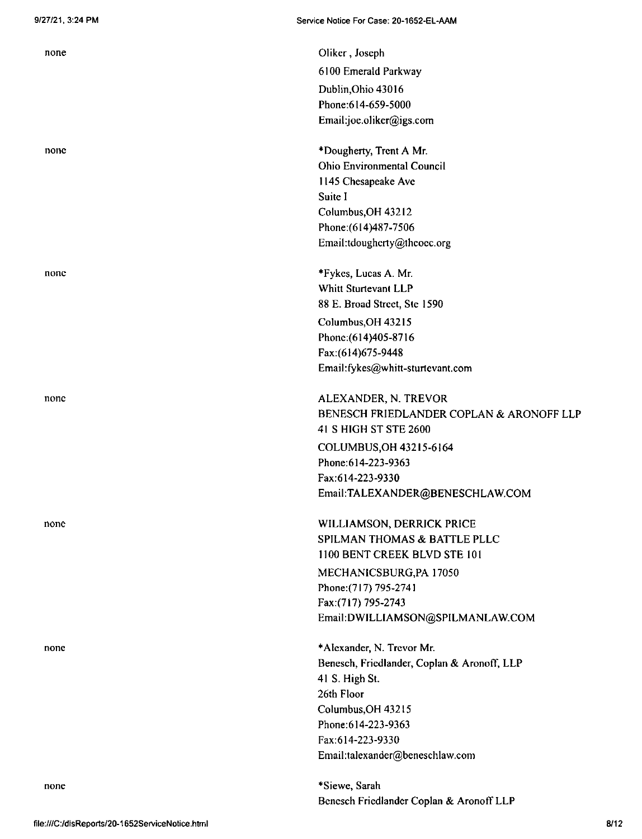none

none

none

none

none

Oliker, Joseph 6100 Emerald Parkway Dublin,Ohio 43016 Phone:614-659-5000 Email:joe.oliker@igs.com

\*Dougherty, Trent A Mr. Ohio Environmental Council 1145 Chesapeake Ave Suite <sup>I</sup> Columbus,OH 43212 Phone:(614)487-7506 Email:tdoughcrty@theocc.org

\*Fykes, Lucas A. Mr. Whitt Sturtevant LLP 88 E. Broad Street, Stc 1590 Columbus,OH 43215 Phonc:(614)405-8716 Fax;(614)675-9448 Email:fykcs@whitt-sturtcvant.com

COLUMBUS,OH 43215-6164 Phone:614-223-9363 Fax:614-223-9330 EmaiI:TALEXANDER@BENESCHLAW.COM ALEXANDER, N. TREVOR BENESCH FRIEDLANDER COPLAN & ARONOFF LLP 41 SHIGH ST STE 2600

WILLIAMSON, DERRICK PRICE SPILMAN THOMAS & BATTLE PLLC IlOO BENT CREEK BLVD STE lOl MECHANICSBURG,PA 17050 Phone:(7l7) 795-2741 Fax:(717) 795-2743 Email:DWlLLIAMSON@SPILMANLAW.COM

\*Alcxandcr, N. Trevor Mr. Benesch, Friedlander, Coplan & Aronoff, LLP 41 S. High St, 26th Floor Columbus, OH 43215 Phone:614-223-9363 Fax:614-223-9330 Email:talexander@beneschlaw.com

\*Siewe, Sarah Bcncsch Friedlander Coplan & AronofFLLP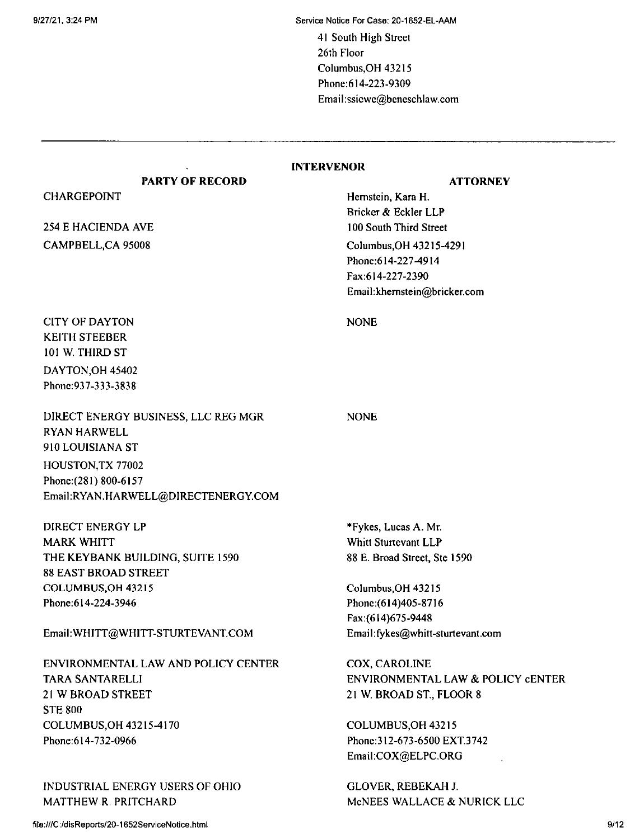9/27/21,3:24 PM Service Notice For Case: 20-1652-EL-AAM

41 South High Street 26th Floor Columbus,OH 43215 Phone:614-223-9309 Email:ssicwc@bcncschlaw.com

### **INTERVENOR**

### **PARTY OF RECORD ATTORNEY**

Hemstein, Kara H. Bricker & Eckler LLP 100 South Third Street Columbus,OH 43215-4291 Phone: 614-227-4914 Fax:614-227-2390 Email:khemstein@bricker.com

NONE

NONE

CITY OF DAYTON KEITH STEEBER 101 W. THIRD ST DAYTON,OH 45402 Phonc:937-333-3838

CHARGEPOINT

254 E HACIENDA AVE CAMPBELL,CA 95008

DIRECT ENERGY BUSINESS, LLC REG MGR RYAN HARWELL 910 LOUISIANA ST HOUSTON, TX 77002 Phone:(281) 800-6157 Email:RYAN.HARWELL@DIRECTENERGY.COM

DIRECT ENERGY LP MARK WHITT THE KEYBANK BUILDING, SUITE 1590 88 EAST BROAD STREET COLUMBUS.OH 43215 Phone;614-224-3946

## EmaihWHITT@WHITT-STURTEVANT.COM

ENVIRONMENTAL LAW AND POLICY CENTER TARA SANTARELLI 21 W BROAD STREET STE 800 COLUMBUS,OH 43215-4170 Phone:614-732-0966

INDUSTRIAL ENERGY USERS OF OHIO MATTHEW R. PRITCHARD

\*Fykes, Lucas A. Mr. Whitt Sturtevant LLP 88 E. Broad Street, Ste 1590

Columbus,OH 43215 Phonc:(614)405-8716 Fax:(614)675-9448 Email:fykes@whitt-Sturtevant.com

COX, CAROLINE ENVIRONMENTAL LAW & POLICY CENTER 21 W. BROAD ST, FLOOR 8

COLUMBUS,OH 43215 Phonc:312-673-6500 EXT.3742 Email:COX@ELPC.ORG

GLOVER, REBEKAH J. McNEES WALLACE & NURICK LLC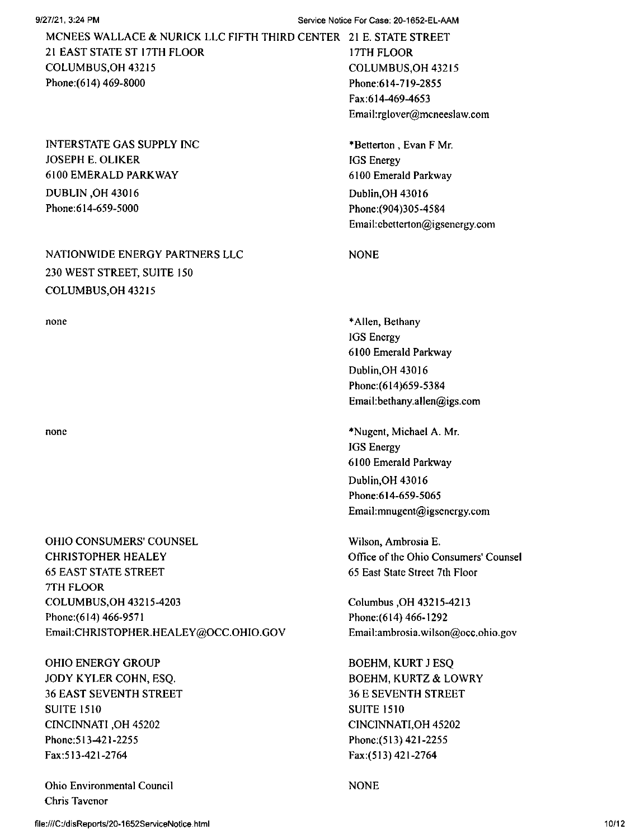9/27/21,3:24 PM Service Notice For Case; 20-1652-EL-AAM

17TH FLOOR MCNEES WALLACE & NURICK LLC FIFTH THIRD CENTER 2<sup>1</sup> E. STATE STREET 2<sup>1</sup> EAST STATE ST I7TH FLOOR COLUMBUS,OH 432<sup>1</sup><sup>5</sup> Phone:(614) 469-8000

INTERSTATE GAS SUPPLY INC JOSEPH E. OLIKER 6100 EMERALD PARKWAY DUBLIN ,OH 43016 Phone:614-659-5000

# NATIONWIDE ENERGY PARTNERS LLC NONE 230 WEST STREET, SUITE 150 COLUMBUS,OH 43215

none

none

OHIO CONSUMERS' COUNSEL CHRISTOPHER HEALEY 65 EAST STATE STREET 7TH FLOOR COLUMBUS,OH 43215-4203 Phone:(614) 466-9571 Email:CHRISTOPHER,HEALEY@OCC.OHIO.GOV

OHIO ENERGY GROUP JODY KYLER COHN, ESQ. 36 EAST SEVENTH STREET SUITE 1510 CINCINNATI ,OH 45202 Phone: 513-421-2255 Fax:513-421-2764

Ohio Environmental Council Chris Tavcnor

COLUMBUS,OH 43215 Phone:614-719-2855 Fax:614-469-4653 Email:rglover@mcneeslaw.com

\*Betterton , Evan F Mr. IGS Energy 6100 Emerald Parkway Dublin,OH 43016 Phone:(904)305-4584 Email:cbcttcrton@igsenergy.com

\*Allen, Bethany IGS Energy 6100 Emerald Parkway Dublin,OH 43016 Phonc:(614)659-5384 Email:bethany.allen@igs.com

\*Nugcnt, Michael A. Mr. IGS Energy 6100 Emerald Parkway Dublin,OH 43016 Phone:614-659-5065 Email:mnugent@igsenergy.com

Wilson, Ambrosia E. Office of the Ohio Consumers' Counsel 65 East State Street 7th Floor

Columbus ,OH 43215-4213 Phonc:(614) 466-1292 Email:ambrosia.wilson@occ.ohio.gov

BOEHM, KURT J ESQ BOEHM, KURTZ & LOWRY 36 E SEVENTH STREET SUITE 1510 CINCINNATI,OH 45202 Phonc;(513) 421-2255 Fax:(513)421-2764

NONE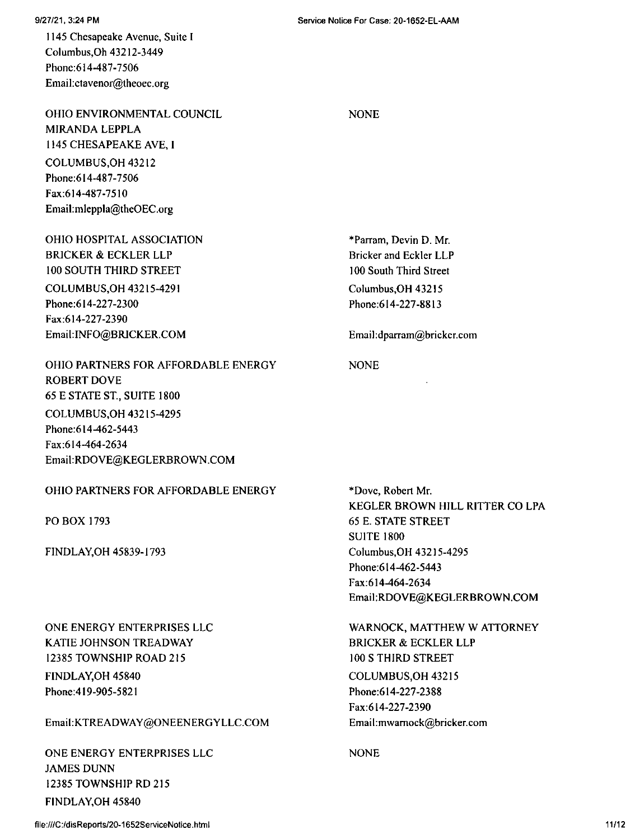1145 Chesapeake Avenue, Suite <sup>I</sup> Columbus,Oh 43212-3449 Phone:614-487-7506 Email:ctavenor@theoec.org

OHIO ENVIRONMENTAL COUNCIL MIRANDA LEPPLA 1145 CHESAPEAKE AVE, <sup>I</sup> COLUMBUS,OH 43212 Phone:614-487-7506 Fax:614-487-7510 Email:mleppIa@theOEC.org

COLUMBUS,OH 43215-4291 Phone;614-227-2300 Fax:614-227-2390 Email:INFO@BRICKER.COM OHIO HOSPITAL ASSOCIATION BRICKER & ECKLER LLP 100 SOUTH THIRD STREET

OHIO PARTNERS FOR AFFORDABLE ENERGY ROBERT DOVE 65 E STATE ST., SUITE 1800 COLUMBUS,OH 43215-4295 Phone: 614-462-5443 Fax:614-464-2634 Email:RDOVE@KEGLERBROWN.COM

# OHIO PARTNERS FOR AFFORDABLE ENERGY

PO BOX 1793

FINDLAY,OH 45839-1793

ONE ENERGY ENTERPRISES LLC KATIE JOHNSON TREADWAY 12385 TOWNSHIP ROAD 215 FINDLAY,OH 45840 Phone:419-905-5821

Email:KTREADWAY@ONEENERGYLLC.COM

FINDLAY,OH 45840 ONE ENERGY ENTERPRISES LLC JAMES DUNN 12385 TOWNSHIP RD 215

**NONE** 

Columbus,OH 43215 Phone:614-227-8813 \*Parram, Devin D. Mr. Bricker and Eckler LLP 100 South Third Street

Email:dpanam@brickcr.com

## NONE

\*Dovc, Robert Mr. KEGLER BROWN HILL RITTER CO LPA 65 E. STATE STREET SUITE 1800 Columbus,OH 43215-4295 Phone:614-462-5443 Fax:614-464-2634 EmaiI:RDOVE@KEGLERBROWN.COM

WARNOCK, MATTHEW W ATTORNEY BRICKER & ECKLER LLP 100 S THIRD STREET COLUMBUS,OH 43215 Phone:614-227-2388 Fax:614-227-2390 Email:mwamock@bricker.com

NONE